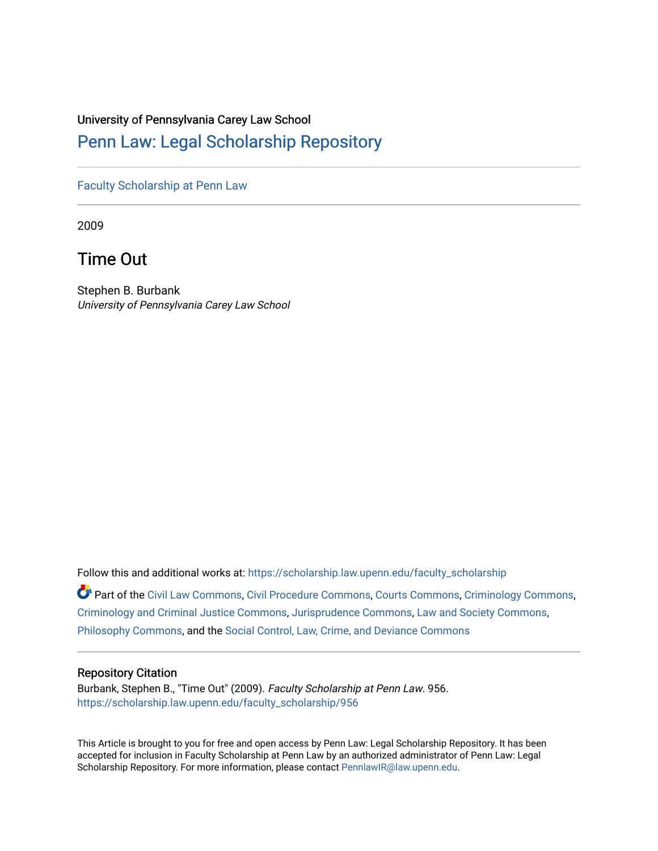# University of Pennsylvania Carey Law School

# [Penn Law: Legal Scholarship Repository](https://scholarship.law.upenn.edu/)

[Faculty Scholarship at Penn Law](https://scholarship.law.upenn.edu/faculty_scholarship)

2009

Time Out

Stephen B. Burbank University of Pennsylvania Carey Law School

Follow this and additional works at: [https://scholarship.law.upenn.edu/faculty\\_scholarship](https://scholarship.law.upenn.edu/faculty_scholarship?utm_source=scholarship.law.upenn.edu%2Ffaculty_scholarship%2F956&utm_medium=PDF&utm_campaign=PDFCoverPages) 

Part of the [Civil Law Commons](http://network.bepress.com/hgg/discipline/835?utm_source=scholarship.law.upenn.edu%2Ffaculty_scholarship%2F956&utm_medium=PDF&utm_campaign=PDFCoverPages), [Civil Procedure Commons,](http://network.bepress.com/hgg/discipline/584?utm_source=scholarship.law.upenn.edu%2Ffaculty_scholarship%2F956&utm_medium=PDF&utm_campaign=PDFCoverPages) [Courts Commons,](http://network.bepress.com/hgg/discipline/839?utm_source=scholarship.law.upenn.edu%2Ffaculty_scholarship%2F956&utm_medium=PDF&utm_campaign=PDFCoverPages) [Criminology Commons](http://network.bepress.com/hgg/discipline/417?utm_source=scholarship.law.upenn.edu%2Ffaculty_scholarship%2F956&utm_medium=PDF&utm_campaign=PDFCoverPages), [Criminology and Criminal Justice Commons](http://network.bepress.com/hgg/discipline/367?utm_source=scholarship.law.upenn.edu%2Ffaculty_scholarship%2F956&utm_medium=PDF&utm_campaign=PDFCoverPages), [Jurisprudence Commons,](http://network.bepress.com/hgg/discipline/610?utm_source=scholarship.law.upenn.edu%2Ffaculty_scholarship%2F956&utm_medium=PDF&utm_campaign=PDFCoverPages) [Law and Society Commons](http://network.bepress.com/hgg/discipline/853?utm_source=scholarship.law.upenn.edu%2Ffaculty_scholarship%2F956&utm_medium=PDF&utm_campaign=PDFCoverPages), [Philosophy Commons,](http://network.bepress.com/hgg/discipline/525?utm_source=scholarship.law.upenn.edu%2Ffaculty_scholarship%2F956&utm_medium=PDF&utm_campaign=PDFCoverPages) and the [Social Control, Law, Crime, and Deviance Commons](http://network.bepress.com/hgg/discipline/429?utm_source=scholarship.law.upenn.edu%2Ffaculty_scholarship%2F956&utm_medium=PDF&utm_campaign=PDFCoverPages)

# Repository Citation

Burbank, Stephen B., "Time Out" (2009). Faculty Scholarship at Penn Law. 956. [https://scholarship.law.upenn.edu/faculty\\_scholarship/956](https://scholarship.law.upenn.edu/faculty_scholarship/956?utm_source=scholarship.law.upenn.edu%2Ffaculty_scholarship%2F956&utm_medium=PDF&utm_campaign=PDFCoverPages) 

This Article is brought to you for free and open access by Penn Law: Legal Scholarship Repository. It has been accepted for inclusion in Faculty Scholarship at Penn Law by an authorized administrator of Penn Law: Legal Scholarship Repository. For more information, please contact [PennlawIR@law.upenn.edu.](mailto:PennlawIR@law.upenn.edu)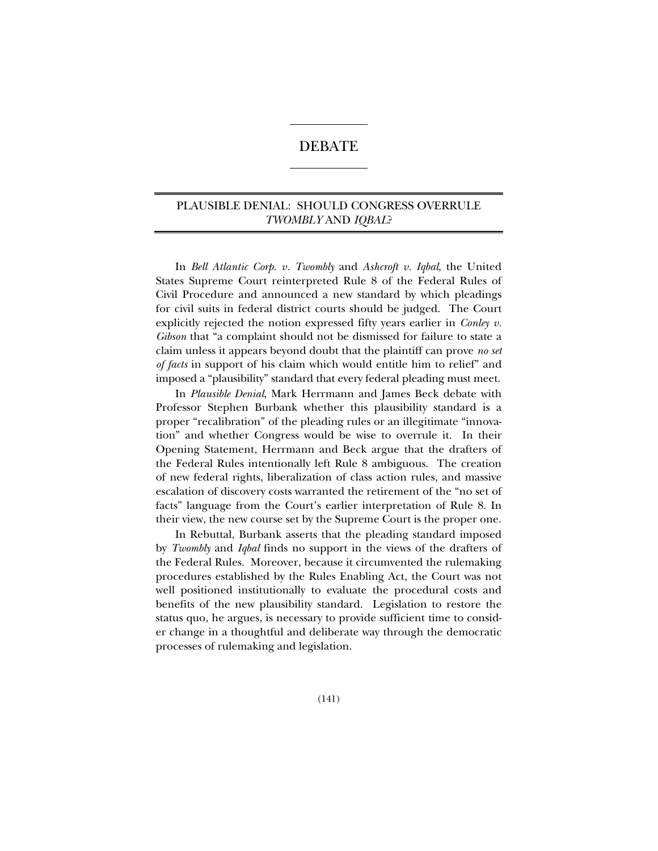# DEBATE

# PLAUSIBLE DENIAL: SHOULD CONGRESS OVERRULE *TWOMBLY* AND *IQBAL*?

In *Bell Atlantic Corp. v. Twombly* and *Ashcroft v. Iqbal*, the United States Supreme Court reinterpreted Rule 8 of the Federal Rules of Civil Procedure and announced a new standard by which pleadings for civil suits in federal district courts should be judged. The Court explicitly rejected the notion expressed fifty years earlier in *Conley v. Gibson* that "a complaint should not be dismissed for failure to state a claim unless it appears beyond doubt that the plaintiff can prove *no set of facts* in support of his claim which would entitle him to relief" and imposed a "plausibility" standard that every federal pleading must meet.

In *Plausible Denial*, Mark Herrmann and James Beck debate with Professor Stephen Burbank whether this plausibility standard is a proper "recalibration" of the pleading rules or an illegitimate "innovation" and whether Congress would be wise to overrule it. In their Opening Statement, Herrmann and Beck argue that the drafters of the Federal Rules intentionally left Rule 8 ambiguous. The creation of new federal rights, liberalization of class action rules, and massive escalation of discovery costs warranted the retirement of the "no set of facts" language from the Court's earlier interpretation of Rule 8. In their view, the new course set by the Supreme Court is the proper one.

In Rebuttal, Burbank asserts that the pleading standard imposed by *Twombly* and *Iqbal* finds no support in the views of the drafters of the Federal Rules. Moreover, because it circumvented the rulemaking procedures established by the Rules Enabling Act, the Court was not well positioned institutionally to evaluate the procedural costs and benefits of the new plausibility standard. Legislation to restore the status quo, he argues, is necessary to provide sufficient time to consider change in a thoughtful and deliberate way through the democratic processes of rulemaking and legislation.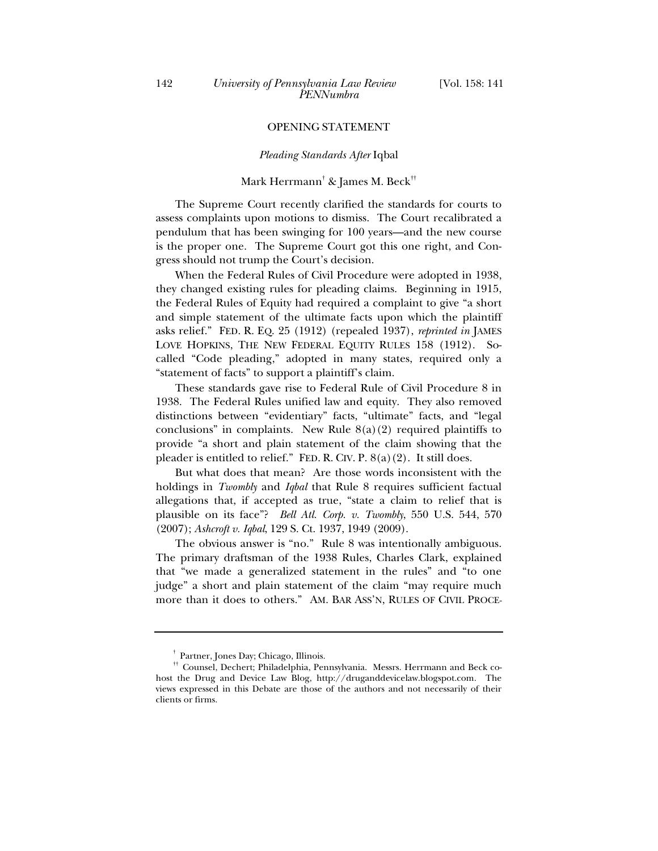### OPENING STATEMENT

#### *Pleading Standards After* Iqbal

# Mark Herrmann† & James M. Beck††

The Supreme Court recently clarified the standards for courts to assess complaints upon motions to dismiss. The Court recalibrated a pendulum that has been swinging for 100 years—and the new course is the proper one. The Supreme Court got this one right, and Congress should not trump the Court's decision.

When the Federal Rules of Civil Procedure were adopted in 1938, they changed existing rules for pleading claims. Beginning in 1915, the Federal Rules of Equity had required a complaint to give "a short and simple statement of the ultimate facts upon which the plaintiff asks relief." FED. R. EQ. 25 (1912) (repealed 1937), *reprinted in* JAMES LOVE HOPKINS, THE NEW FEDERAL EQUITY RULES 158 (1912). Socalled "Code pleading," adopted in many states, required only a "statement of facts" to support a plaintiff's claim.

These standards gave rise to Federal Rule of Civil Procedure 8 in 1938. The Federal Rules unified law and equity. They also removed distinctions between "evidentiary" facts, "ultimate" facts, and "legal conclusions" in complaints. New Rule  $8(a)(2)$  required plaintiffs to provide "a short and plain statement of the claim showing that the pleader is entitled to relief." FED. R. CIV. P.  $8(a)(2)$ . It still does.

But what does that mean? Are those words inconsistent with the holdings in *Twombly* and *Iqbal* that Rule 8 requires sufficient factual allegations that, if accepted as true, "state a claim to relief that is plausible on its face"? *Bell Atl. Corp. v. Twombly*, 550 U.S. 544, 570 (2007); *Ashcroft v. Iqbal*, 129 S. Ct. 1937, 1949 (2009).

The obvious answer is "no." Rule 8 was intentionally ambiguous. The primary draftsman of the 1938 Rules, Charles Clark, explained that "we made a generalized statement in the rules" and "to one judge" a short and plain statement of the claim "may require much more than it does to others." AM. BAR ASS'N, RULES OF CIVIL PROCE-

 $^\dagger$  Partner, Jones Day; Chicago, Illinois.<br>†† Counsel, Dechert; Philadelphia, Pennsylvania. Messrs. Herrmann and Beck cohost the Drug and Device Law Blog, http://druganddevicelaw.blogspot.com. The views expressed in this Debate are those of the authors and not necessarily of their clients or firms.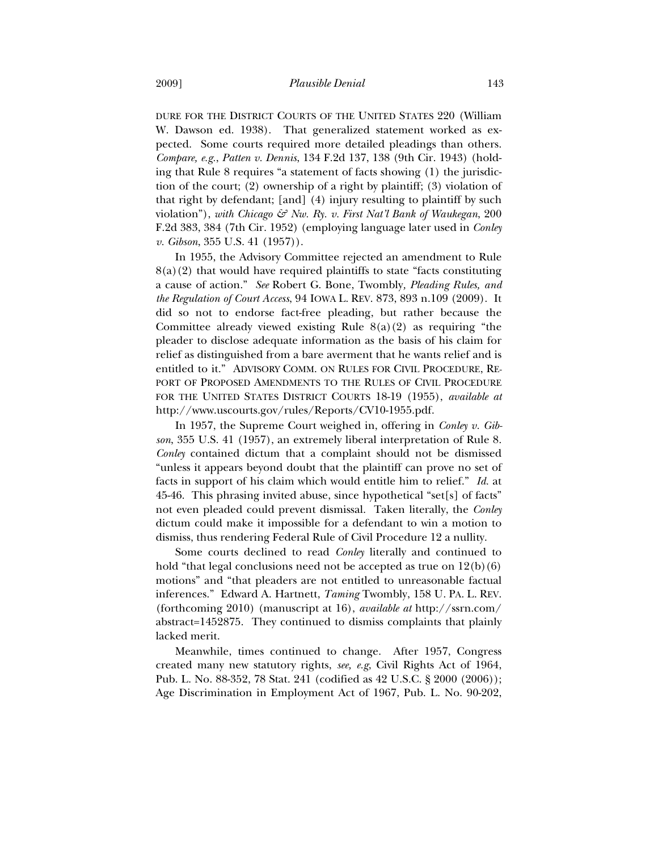DURE FOR THE DISTRICT COURTS OF THE UNITED STATES 220 (William W. Dawson ed. 1938). That generalized statement worked as expected. Some courts required more detailed pleadings than others. *Compare, e.g.*, *Patten v. Dennis*, 134 F.2d 137, 138 (9th Cir. 1943) (holding that Rule 8 requires "a statement of facts showing (1) the jurisdiction of the court; (2) ownership of a right by plaintiff; (3) violation of that right by defendant; [and] (4) injury resulting to plaintiff by such violation"), *with Chicago & Nw. Ry. v. First Nat'l Bank of Waukegan*, 200 F.2d 383, 384 (7th Cir. 1952) (employing language later used in *Conley v. Gibson*, 355 U.S. 41 (1957)).

In 1955, the Advisory Committee rejected an amendment to Rule  $8(a)(2)$  that would have required plaintiffs to state "facts constituting a cause of action." *See* Robert G. Bone, Twombly*, Pleading Rules, and the Regulation of Court Access*, 94 IOWA L. REV. 873, 893 n.109 (2009). It did so not to endorse fact-free pleading, but rather because the Committee already viewed existing Rule  $8(a)(2)$  as requiring "the pleader to disclose adequate information as the basis of his claim for relief as distinguished from a bare averment that he wants relief and is entitled to it." ADVISORY COMM. ON RULES FOR CIVIL PROCEDURE, RE-PORT OF PROPOSED AMENDMENTS TO THE RULES OF CIVIL PROCEDURE FOR THE UNITED STATES DISTRICT COURTS 18-19 (1955), *available at* http://www.uscourts.gov/rules/Reports/CV10-1955.pdf.

In 1957, the Supreme Court weighed in, offering in *Conley v. Gibson*, 355 U.S. 41 (1957), an extremely liberal interpretation of Rule 8. *Conley* contained dictum that a complaint should not be dismissed "unless it appears beyond doubt that the plaintiff can prove no set of facts in support of his claim which would entitle him to relief." *Id.* at 45-46. This phrasing invited abuse, since hypothetical "set[s] of facts" not even pleaded could prevent dismissal. Taken literally, the *Conley* dictum could make it impossible for a defendant to win a motion to dismiss, thus rendering Federal Rule of Civil Procedure 12 a nullity.

Some courts declined to read *Conley* literally and continued to hold "that legal conclusions need not be accepted as true on  $12(b)(6)$ motions" and "that pleaders are not entitled to unreasonable factual inferences." Edward A. Hartnett, *Taming* Twombly, 158 U. PA. L. REV. (forthcoming 2010) (manuscript at 16), *available at* http://ssrn.com/ abstract=1452875. They continued to dismiss complaints that plainly lacked merit.

Meanwhile, times continued to change. After 1957, Congress created many new statutory rights, *see, e.g*, Civil Rights Act of 1964, Pub. L. No. 88-352, 78 Stat. 241 (codified as 42 U.S.C. § 2000 (2006)); Age Discrimination in Employment Act of 1967, Pub. L. No. 90-202,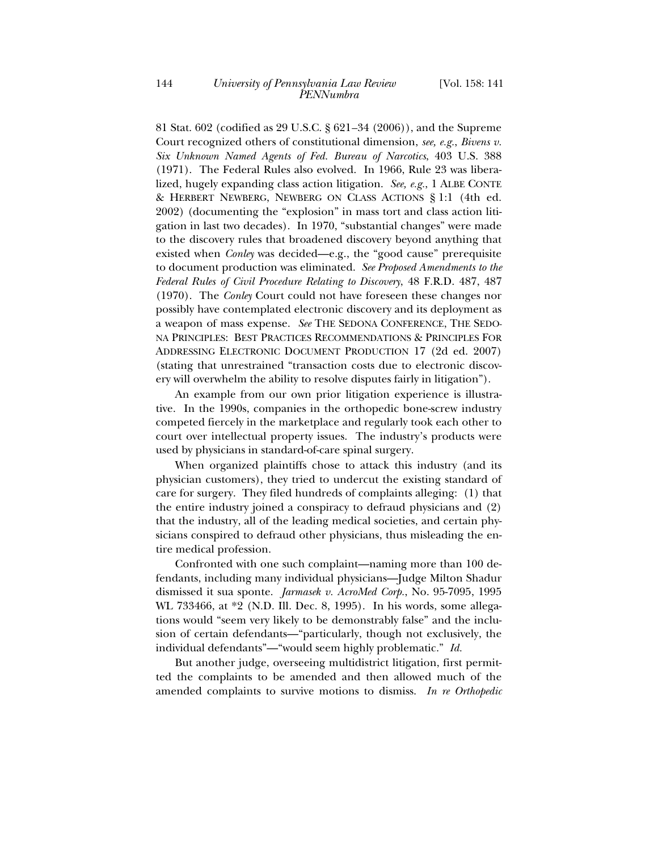81 Stat. 602 (codified as 29 U.S.C. § 621*–*34 (2006)), and the Supreme Court recognized others of constitutional dimension, *see, e.g.*, *Bivens v. Six Unknown Named Agents of Fed. Bureau of Narcotics*, 403 U.S. 388 (1971). The Federal Rules also evolved. In 1966, Rule 23 was liberalized, hugely expanding class action litigation. *See, e.g.*, 1 ALBE CONTE & HERBERT NEWBERG, NEWBERG ON CLASS ACTIONS § 1:1 (4th ed. 2002) (documenting the "explosion" in mass tort and class action litigation in last two decades). In 1970, "substantial changes" were made to the discovery rules that broadened discovery beyond anything that existed when *Conley* was decided—e.g., the "good cause" prerequisite to document production was eliminated. *See Proposed Amendments to the Federal Rules of Civil Procedure Relating to Discovery*, 48 F.R.D. 487, 487 (1970). The *Conley* Court could not have foreseen these changes nor possibly have contemplated electronic discovery and its deployment as a weapon of mass expense. *See* THE SEDONA CONFERENCE, THE SEDO-NA PRINCIPLES: BEST PRACTICES RECOMMENDATIONS & PRINCIPLES FOR ADDRESSING ELECTRONIC DOCUMENT PRODUCTION 17 (2d ed. 2007) (stating that unrestrained "transaction costs due to electronic discovery will overwhelm the ability to resolve disputes fairly in litigation").

An example from our own prior litigation experience is illustrative. In the 1990s, companies in the orthopedic bone-screw industry competed fiercely in the marketplace and regularly took each other to court over intellectual property issues. The industry's products were used by physicians in standard-of-care spinal surgery.

When organized plaintiffs chose to attack this industry (and its physician customers), they tried to undercut the existing standard of care for surgery. They filed hundreds of complaints alleging: (1) that the entire industry joined a conspiracy to defraud physicians and (2) that the industry, all of the leading medical societies, and certain physicians conspired to defraud other physicians, thus misleading the entire medical profession.

Confronted with one such complaint—naming more than 100 defendants, including many individual physicians—Judge Milton Shadur dismissed it sua sponte. *Jarmasek v. AcroMed Corp.*, No. 95-7095, 1995 WL 733466, at \*2 (N.D. Ill. Dec. 8, 1995). In his words, some allegations would "seem very likely to be demonstrably false" and the inclusion of certain defendants—"particularly, though not exclusively, the individual defendants"—"would seem highly problematic." *Id.*

But another judge, overseeing multidistrict litigation, first permitted the complaints to be amended and then allowed much of the amended complaints to survive motions to dismiss. *In re Orthopedic*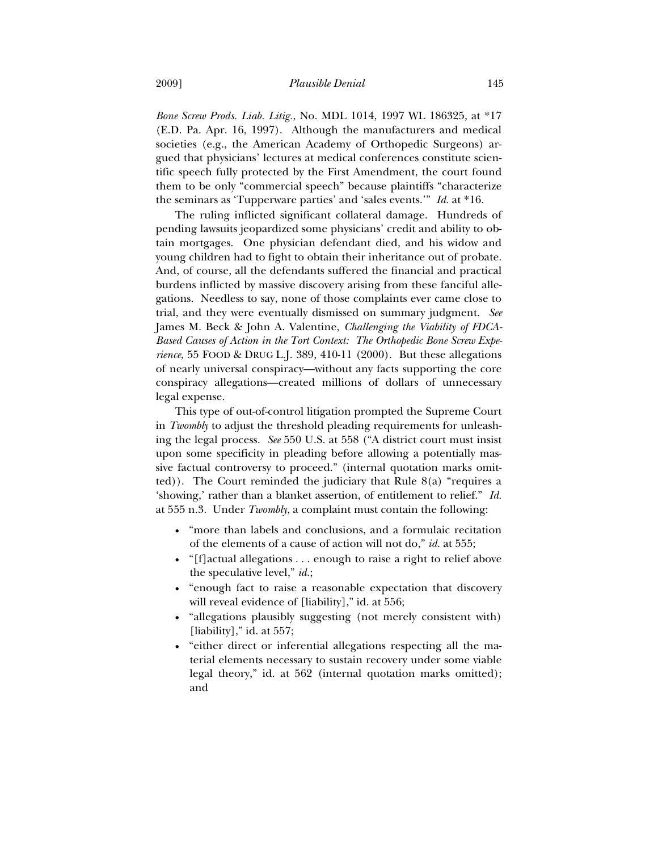*Bone Screw Prods. Liab. Litig.*, No. MDL 1014, 1997 WL 186325, at \*17 (E.D. Pa. Apr. 16, 1997). Although the manufacturers and medical societies (e.g., the American Academy of Orthopedic Surgeons) argued that physicians' lectures at medical conferences constitute scientific speech fully protected by the First Amendment, the court found them to be only "commercial speech" because plaintiffs "characterize the seminars as 'Tupperware parties' and 'sales events.'" *Id.* at \*16.

The ruling inflicted significant collateral damage. Hundreds of pending lawsuits jeopardized some physicians' credit and ability to obtain mortgages. One physician defendant died, and his widow and young children had to fight to obtain their inheritance out of probate. And, of course, all the defendants suffered the financial and practical burdens inflicted by massive discovery arising from these fanciful allegations. Needless to say, none of those complaints ever came close to trial, and they were eventually dismissed on summary judgment. *See* James M. Beck & John A. Valentine, *Challenging the Viability of FDCA-Based Causes of Action in the Tort Context: The Orthopedic Bone Screw Experience*, 55 FOOD & DRUG L.J. 389, 410-11 (2000). But these allegations of nearly universal conspiracy—without any facts supporting the core conspiracy allegations—created millions of dollars of unnecessary legal expense.

This type of out-of-control litigation prompted the Supreme Court in *Twombly* to adjust the threshold pleading requirements for unleashing the legal process. *See* 550 U.S. at 558 ("A district court must insist upon some specificity in pleading before allowing a potentially massive factual controversy to proceed." (internal quotation marks omit $ted)$ ). The Court reminded the judiciary that Rule  $8(a)$  "requires a 'showing,' rather than a blanket assertion, of entitlement to relief." *Id.* at 555 n.3. Under *Twombly*, a complaint must contain the following:

- "more than labels and conclusions, and a formulaic recitation of the elements of a cause of action will not do," *id.* at 555;
- "[f]actual allegations . . . enough to raise a right to relief above the speculative level," *id.*;
- "enough fact to raise a reasonable expectation that discovery will reveal evidence of [liability]," id. at 556;
- "allegations plausibly suggesting (not merely consistent with) [liability]," id. at  $557$ ;
- "either direct or inferential allegations respecting all the material elements necessary to sustain recovery under some viable legal theory," id. at 562 (internal quotation marks omitted); and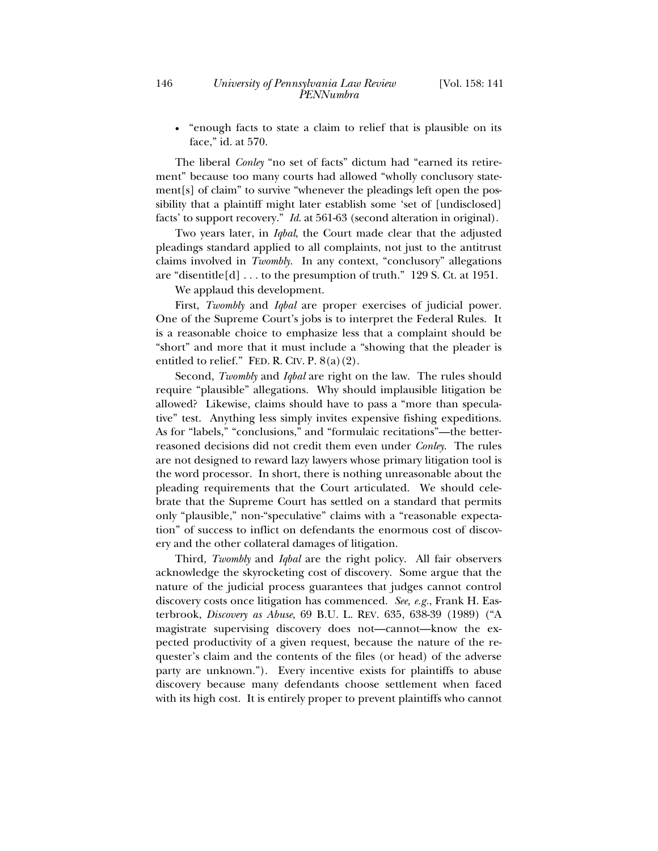"enough facts to state a claim to relief that is plausible on its face," id. at 570.

The liberal *Conley* "no set of facts" dictum had "earned its retirement" because too many courts had allowed "wholly conclusory statement[s] of claim" to survive "whenever the pleadings left open the possibility that a plaintiff might later establish some 'set of [undisclosed] facts' to support recovery." *Id*. at 561-63 (second alteration in original).

Two years later, in *Iqbal*, the Court made clear that the adjusted pleadings standard applied to all complaints, not just to the antitrust claims involved in *Twombly*. In any context, "conclusory" allegations are "disentitle $[d]$ ... to the presumption of truth." 129 S. Ct. at 1951.

We applaud this development.

First, *Twombly* and *Iqbal* are proper exercises of judicial power. One of the Supreme Court's jobs is to interpret the Federal Rules. It is a reasonable choice to emphasize less that a complaint should be "short" and more that it must include a "showing that the pleader is entitled to relief." FED. R. CIV. P.  $8(a)(2)$ .

Second, *Twombly* and *Iqbal* are right on the law. The rules should require "plausible" allegations. Why should implausible litigation be allowed? Likewise, claims should have to pass a "more than speculative" test. Anything less simply invites expensive fishing expeditions. As for "labels," "conclusions," and "formulaic recitations"—the betterreasoned decisions did not credit them even under *Conley*. The rules are not designed to reward lazy lawyers whose primary litigation tool is the word processor. In short, there is nothing unreasonable about the pleading requirements that the Court articulated. We should celebrate that the Supreme Court has settled on a standard that permits only "plausible," non-"speculative" claims with a "reasonable expectation" of success to inflict on defendants the enormous cost of discovery and the other collateral damages of litigation.

Third, *Twombly* and *Iqbal* are the right policy. All fair observers acknowledge the skyrocketing cost of discovery. Some argue that the nature of the judicial process guarantees that judges cannot control discovery costs once litigation has commenced. *See, e.g.*, Frank H. Easterbrook, *Discovery as Abuse*, 69 B.U. L. REV. 635, 638-39 (1989) ("A magistrate supervising discovery does not—cannot—know the expected productivity of a given request, because the nature of the requester's claim and the contents of the files (or head) of the adverse party are unknown."). Every incentive exists for plaintiffs to abuse discovery because many defendants choose settlement when faced with its high cost. It is entirely proper to prevent plaintiffs who cannot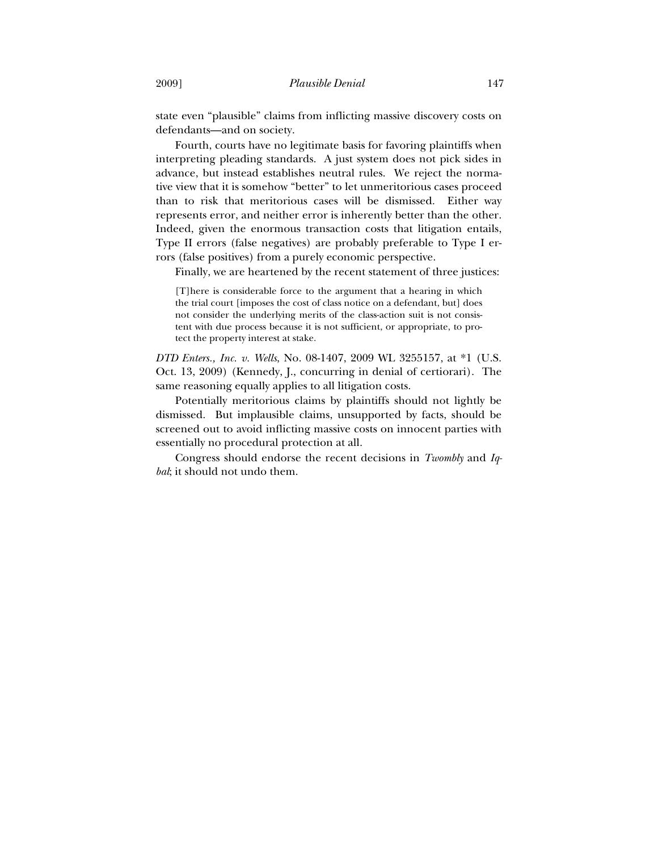state even "plausible" claims from inflicting massive discovery costs on defendants—and on society.

Fourth, courts have no legitimate basis for favoring plaintiffs when interpreting pleading standards. A just system does not pick sides in advance, but instead establishes neutral rules. We reject the normative view that it is somehow "better" to let unmeritorious cases proceed than to risk that meritorious cases will be dismissed. Either way represents error, and neither error is inherently better than the other. Indeed, given the enormous transaction costs that litigation entails, Type II errors (false negatives) are probably preferable to Type I errors (false positives) from a purely economic perspective.

Finally, we are heartened by the recent statement of three justices:

[T]here is considerable force to the argument that a hearing in which the trial court [imposes the cost of class notice on a defendant, but] does not consider the underlying merits of the class-action suit is not consistent with due process because it is not sufficient, or appropriate, to protect the property interest at stake.

*DTD Enters., Inc. v. Wells*, No. 08-1407, 2009 WL 3255157, at \*1 (U.S. Oct. 13, 2009) (Kennedy, J., concurring in denial of certiorari). The same reasoning equally applies to all litigation costs.

Potentially meritorious claims by plaintiffs should not lightly be dismissed. But implausible claims, unsupported by facts, should be screened out to avoid inflicting massive costs on innocent parties with essentially no procedural protection at all.

Congress should endorse the recent decisions in *Twombly* and *Iqbal*; it should not undo them.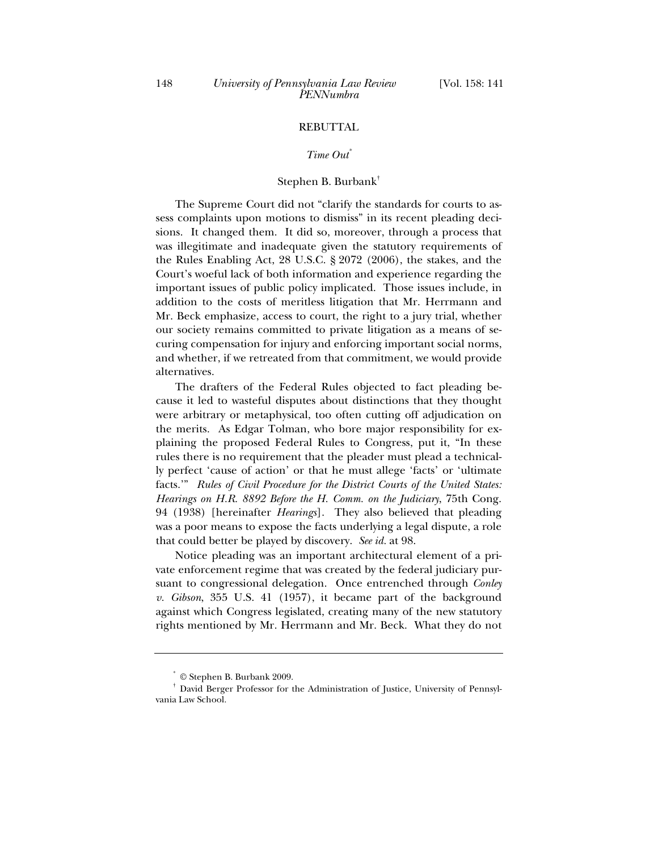## REBUTTAL

## *Time Out\**

#### Stephen B. Burbank†

The Supreme Court did not "clarify the standards for courts to assess complaints upon motions to dismiss" in its recent pleading decisions. It changed them. It did so, moreover, through a process that was illegitimate and inadequate given the statutory requirements of the Rules Enabling Act, 28 U.S.C. § 2072 (2006), the stakes, and the Court's woeful lack of both information and experience regarding the important issues of public policy implicated. Those issues include, in addition to the costs of meritless litigation that Mr. Herrmann and Mr. Beck emphasize, access to court, the right to a jury trial, whether our society remains committed to private litigation as a means of securing compensation for injury and enforcing important social norms, and whether, if we retreated from that commitment, we would provide alternatives.

The drafters of the Federal Rules objected to fact pleading because it led to wasteful disputes about distinctions that they thought were arbitrary or metaphysical, too often cutting off adjudication on the merits. As Edgar Tolman, who bore major responsibility for explaining the proposed Federal Rules to Congress, put it, "In these rules there is no requirement that the pleader must plead a technically perfect 'cause of action' or that he must allege 'facts' or 'ultimate facts.'" *Rules of Civil Procedure for the District Courts of the United States: Hearings on H.R. 8892 Before the H. Comm. on the Judiciary*, 75th Cong. 94 (1938) [hereinafter *Hearings*]. They also believed that pleading was a poor means to expose the facts underlying a legal dispute, a role that could better be played by discovery. *See id.* at 98.

Notice pleading was an important architectural element of a private enforcement regime that was created by the federal judiciary pursuant to congressional delegation. Once entrenched through *Conley v. Gibson*, 355 U.S. 41 (1957), it became part of the background against which Congress legislated, creating many of the new statutory rights mentioned by Mr. Herrmann and Mr. Beck. What they do not

<sup>\*</sup>

<sup>©</sup> Stephen B. Burbank 2009.<br>David Berger Professor for the Administration of Justice, University of Pennsylvania Law School.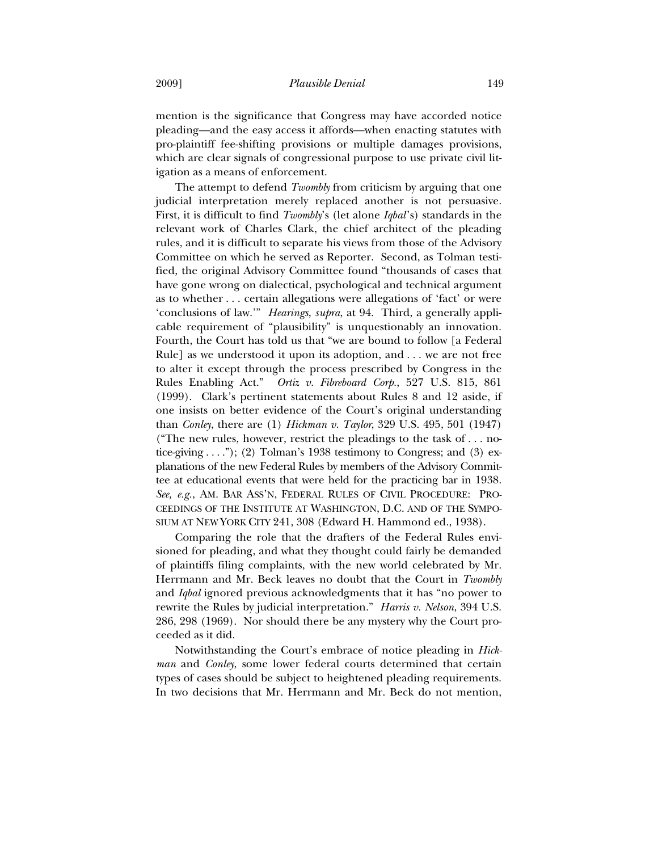mention is the significance that Congress may have accorded notice pleading—and the easy access it affords—when enacting statutes with pro-plaintiff fee-shifting provisions or multiple damages provisions, which are clear signals of congressional purpose to use private civil litigation as a means of enforcement.

The attempt to defend *Twombly* from criticism by arguing that one judicial interpretation merely replaced another is not persuasive. First, it is difficult to find *Twombly*'s (let alone *Iqbal*'s) standards in the relevant work of Charles Clark, the chief architect of the pleading rules, and it is difficult to separate his views from those of the Advisory Committee on which he served as Reporter. Second, as Tolman testified, the original Advisory Committee found "thousands of cases that have gone wrong on dialectical, psychological and technical argument as to whether . . . certain allegations were allegations of 'fact' or were 'conclusions of law.'" *Hearings*, *supra*, at 94. Third, a generally applicable requirement of "plausibility" is unquestionably an innovation. Fourth, the Court has told us that "we are bound to follow [a Federal Rule] as we understood it upon its adoption, and . . . we are not free to alter it except through the process prescribed by Congress in the Rules Enabling Act." *Ortiz v. Fibreboard Corp.*, 527 U.S. 815, 861 (1999). Clark's pertinent statements about Rules 8 and 12 aside, if one insists on better evidence of the Court's original understanding than *Conley*, there are (1) *Hickman v. Taylor*, 329 U.S. 495, 501 (1947) ("The new rules, however, restrict the pleadings to the task of . . . notice-giving  $\dots$ "); (2) Tolman's 1938 testimony to Congress; and (3) explanations of the new Federal Rules by members of the Advisory Committee at educational events that were held for the practicing bar in 1938. *See, e.g.*, AM. BAR ASS'N, FEDERAL RULES OF CIVIL PROCEDURE: PRO-CEEDINGS OF THE INSTITUTE AT WASHINGTON, D.C. AND OF THE SYMPO-SIUM AT NEW YORK CITY 241, 308 (Edward H. Hammond ed., 1938).

Comparing the role that the drafters of the Federal Rules envisioned for pleading, and what they thought could fairly be demanded of plaintiffs filing complaints, with the new world celebrated by Mr. Herrmann and Mr. Beck leaves no doubt that the Court in *Twombly* and *Iqbal* ignored previous acknowledgments that it has "no power to rewrite the Rules by judicial interpretation." *Harris v. Nelson*, 394 U.S. 286, 298 (1969). Nor should there be any mystery why the Court proceeded as it did.

Notwithstanding the Court's embrace of notice pleading in *Hickman* and *Conley*, some lower federal courts determined that certain types of cases should be subject to heightened pleading requirements. In two decisions that Mr. Herrmann and Mr. Beck do not mention,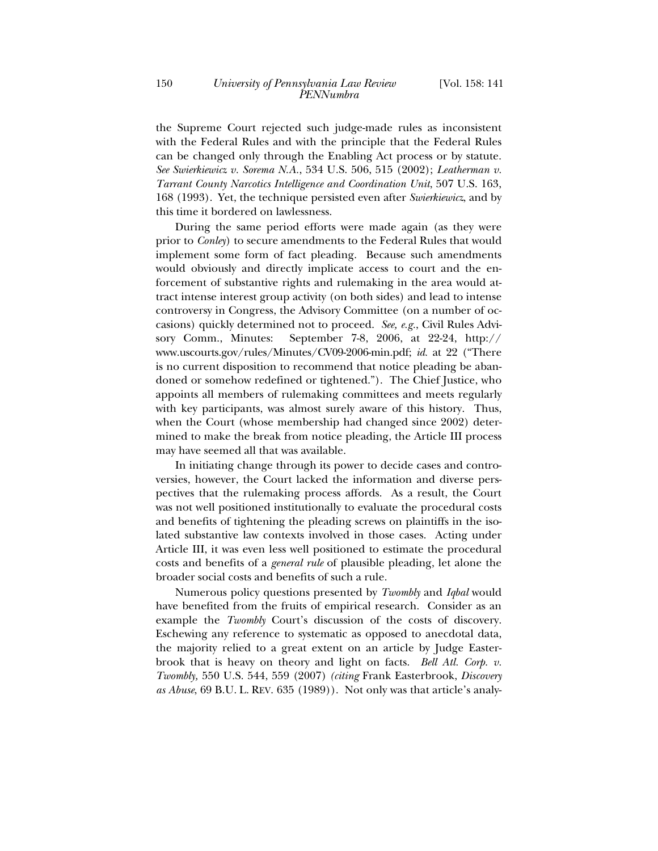the Supreme Court rejected such judge-made rules as inconsistent with the Federal Rules and with the principle that the Federal Rules can be changed only through the Enabling Act process or by statute. *See Swierkiewicz v. Sorema N.A.*, 534 U.S. 506, 515 (2002); *Leatherman v. Tarrant County Narcotics Intelligence and Coordination Unit*, 507 U.S. 163, 168 (1993). Yet, the technique persisted even after *Swierkiewicz*, and by this time it bordered on lawlessness.

During the same period efforts were made again (as they were prior to *Conley*) to secure amendments to the Federal Rules that would implement some form of fact pleading. Because such amendments would obviously and directly implicate access to court and the enforcement of substantive rights and rulemaking in the area would attract intense interest group activity (on both sides) and lead to intense controversy in Congress, the Advisory Committee (on a number of occasions) quickly determined not to proceed. *See, e.g.*, Civil Rules Advisory Comm., Minutes: September 7-8, 2006, at 22-24, http:// www.uscourts.gov/rules/Minutes/CV09-2006-min.pdf; *id.* at 22 ("There is no current disposition to recommend that notice pleading be abandoned or somehow redefined or tightened."). The Chief Justice, who appoints all members of rulemaking committees and meets regularly with key participants, was almost surely aware of this history. Thus, when the Court (whose membership had changed since 2002) determined to make the break from notice pleading, the Article III process may have seemed all that was available.

In initiating change through its power to decide cases and controversies, however, the Court lacked the information and diverse perspectives that the rulemaking process affords. As a result, the Court was not well positioned institutionally to evaluate the procedural costs and benefits of tightening the pleading screws on plaintiffs in the isolated substantive law contexts involved in those cases. Acting under Article III, it was even less well positioned to estimate the procedural costs and benefits of a *general rule* of plausible pleading, let alone the broader social costs and benefits of such a rule.

Numerous policy questions presented by *Twombly* and *Iqbal* would have benefited from the fruits of empirical research. Consider as an example the *Twombly* Court's discussion of the costs of discovery. Eschewing any reference to systematic as opposed to anecdotal data, the majority relied to a great extent on an article by Judge Easterbrook that is heavy on theory and light on facts. *Bell Atl. Corp. v. Twombly,* 550 U.S. 544, 559 (2007) *(citing* Frank Easterbrook, *Discovery as Abuse*, 69 B.U. L. REV. 635 (1989)). Not only was that article's analy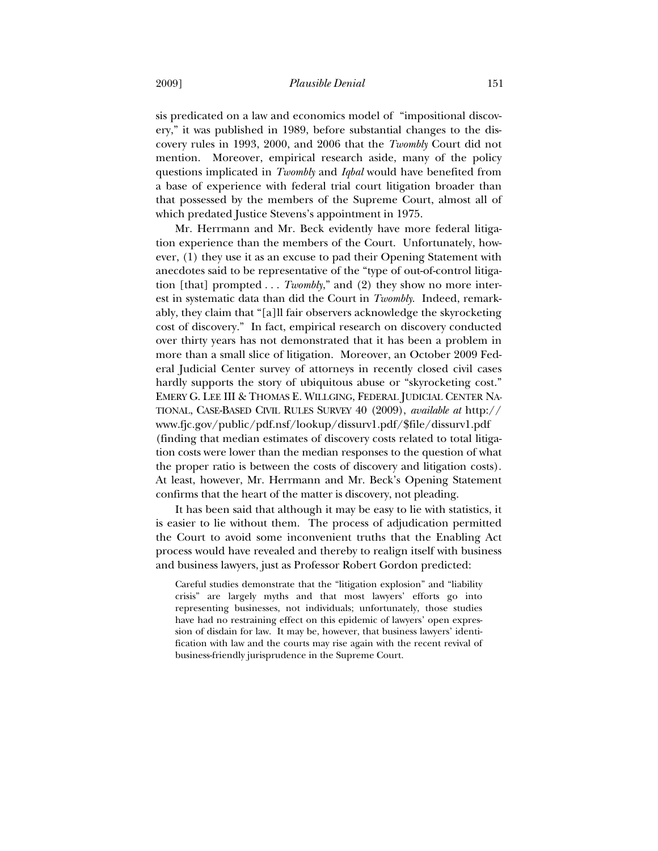sis predicated on a law and economics model of "impositional discovery," it was published in 1989, before substantial changes to the discovery rules in 1993, 2000, and 2006 that the *Twombly* Court did not mention. Moreover, empirical research aside, many of the policy questions implicated in *Twombly* and *Iqbal* would have benefited from a base of experience with federal trial court litigation broader than that possessed by the members of the Supreme Court, almost all of which predated Justice Stevens's appointment in 1975.

Mr. Herrmann and Mr. Beck evidently have more federal litigation experience than the members of the Court. Unfortunately, however, (1) they use it as an excuse to pad their Opening Statement with anecdotes said to be representative of the "type of out-of-control litigation [that] prompted . . . *Twombly*," and (2) they show no more interest in systematic data than did the Court in *Twombly*. Indeed, remarkably, they claim that "[a]ll fair observers acknowledge the skyrocketing cost of discovery." In fact, empirical research on discovery conducted over thirty years has not demonstrated that it has been a problem in more than a small slice of litigation. Moreover, an October 2009 Federal Judicial Center survey of attorneys in recently closed civil cases hardly supports the story of ubiquitous abuse or "skyrocketing cost." EMERY G. LEE III & THOMAS E. WILLGING, FEDERAL JUDICIAL CENTER NA-TIONAL, CASE-BASED CIVIL RULES SURVEY 40 (2009), *available at* http:// www.fjc.gov/public/pdf.nsf/lookup/dissurv1.pdf/\$file/dissurv1.pdf (finding that median estimates of discovery costs related to total litigation costs were lower than the median responses to the question of what the proper ratio is between the costs of discovery and litigation costs). At least, however, Mr. Herrmann and Mr. Beck's Opening Statement confirms that the heart of the matter is discovery, not pleading.

It has been said that although it may be easy to lie with statistics, it is easier to lie without them. The process of adjudication permitted the Court to avoid some inconvenient truths that the Enabling Act process would have revealed and thereby to realign itself with business and business lawyers, just as Professor Robert Gordon predicted:

Careful studies demonstrate that the "litigation explosion" and "liability crisis" are largely myths and that most lawyers' efforts go into representing businesses, not individuals; unfortunately, those studies have had no restraining effect on this epidemic of lawyers' open expression of disdain for law. It may be, however, that business lawyers' identification with law and the courts may rise again with the recent revival of business-friendly jurisprudence in the Supreme Court.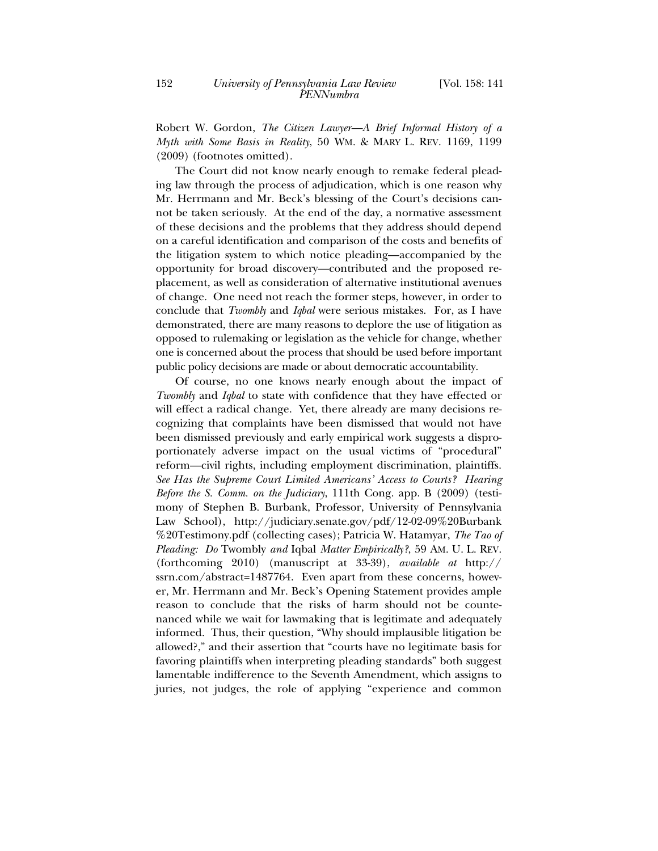Robert W. Gordon, *The Citizen Lawyer—A Brief Informal History of a Myth with Some Basis in Reality*, 50 WM. & MARY L. REV. 1169, 1199 (2009) (footnotes omitted).

The Court did not know nearly enough to remake federal pleading law through the process of adjudication, which is one reason why Mr. Herrmann and Mr. Beck's blessing of the Court's decisions cannot be taken seriously. At the end of the day, a normative assessment of these decisions and the problems that they address should depend on a careful identification and comparison of the costs and benefits of the litigation system to which notice pleading—accompanied by the opportunity for broad discovery—contributed and the proposed replacement, as well as consideration of alternative institutional avenues of change. One need not reach the former steps, however, in order to conclude that *Twombly* and *Iqbal* were serious mistakes. For, as I have demonstrated, there are many reasons to deplore the use of litigation as opposed to rulemaking or legislation as the vehicle for change, whether one is concerned about the process that should be used before important public policy decisions are made or about democratic accountability.

Of course, no one knows nearly enough about the impact of *Twombly* and *Iqbal* to state with confidence that they have effected or will effect a radical change. Yet, there already are many decisions recognizing that complaints have been dismissed that would not have been dismissed previously and early empirical work suggests a disproportionately adverse impact on the usual victims of "procedural" reform—civil rights, including employment discrimination, plaintiffs. *See Has the Supreme Court Limited Americans' Access to Courts? Hearing Before the S. Comm. on the Judiciary*, 111th Cong. app. B (2009) (testimony of Stephen B. Burbank, Professor, University of Pennsylvania Law School), http://judiciary.senate.gov/pdf/12-02-09%20Burbank %20Testimony.pdf (collecting cases); Patricia W. Hatamyar, *The Tao of Pleading: Do* Twombly *and* Iqbal *Matter Empirically?*, 59 AM. U. L. REV. (forthcoming 2010) (manuscript at 33-39), *available at* http:// ssrn.com/abstract=1487764. Even apart from these concerns, however, Mr. Herrmann and Mr. Beck's Opening Statement provides ample reason to conclude that the risks of harm should not be countenanced while we wait for lawmaking that is legitimate and adequately informed. Thus, their question, "Why should implausible litigation be allowed?," and their assertion that "courts have no legitimate basis for favoring plaintiffs when interpreting pleading standards" both suggest lamentable indifference to the Seventh Amendment, which assigns to juries, not judges, the role of applying "experience and common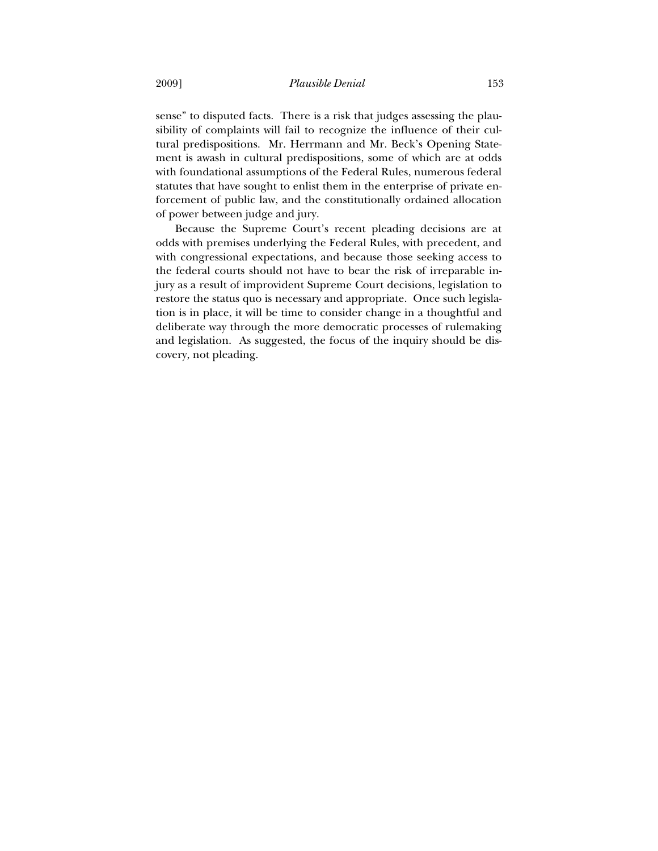sense" to disputed facts. There is a risk that judges assessing the plausibility of complaints will fail to recognize the influence of their cultural predispositions. Mr. Herrmann and Mr. Beck's Opening Statement is awash in cultural predispositions, some of which are at odds with foundational assumptions of the Federal Rules, numerous federal statutes that have sought to enlist them in the enterprise of private enforcement of public law, and the constitutionally ordained allocation of power between judge and jury.

Because the Supreme Court's recent pleading decisions are at odds with premises underlying the Federal Rules, with precedent, and with congressional expectations, and because those seeking access to the federal courts should not have to bear the risk of irreparable injury as a result of improvident Supreme Court decisions, legislation to restore the status quo is necessary and appropriate. Once such legislation is in place, it will be time to consider change in a thoughtful and deliberate way through the more democratic processes of rulemaking and legislation. As suggested, the focus of the inquiry should be discovery, not pleading.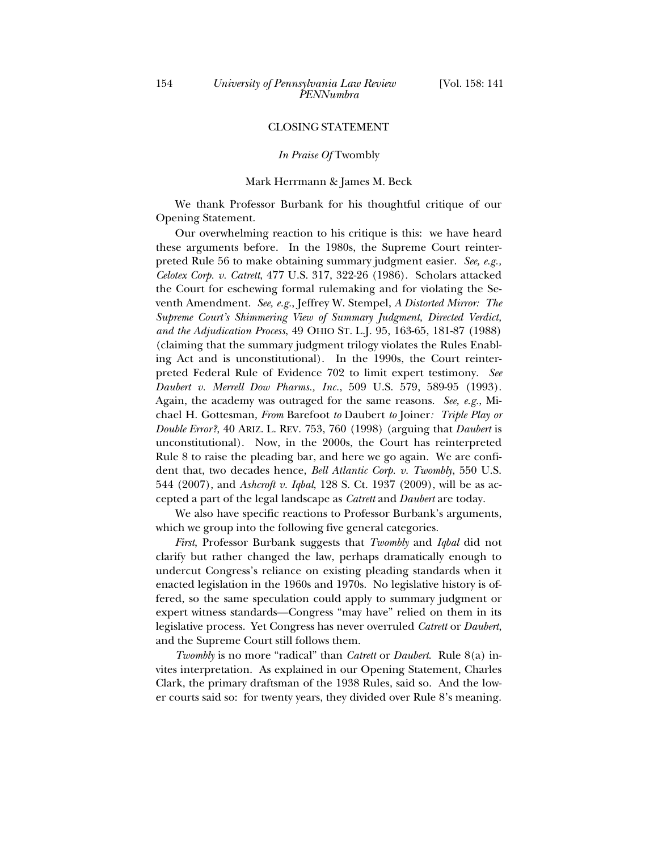## CLOSING STATEMENT

#### *In Praise Of* Twombly

#### Mark Herrmann & James M. Beck

We thank Professor Burbank for his thoughtful critique of our Opening Statement.

Our overwhelming reaction to his critique is this: we have heard these arguments before. In the 1980s, the Supreme Court reinterpreted Rule 56 to make obtaining summary judgment easier. *See, e.g., Celotex Corp. v. Catrett*, 477 U.S. 317, 322-26 (1986). Scholars attacked the Court for eschewing formal rulemaking and for violating the Seventh Amendment. *See, e.g.*, Jeffrey W. Stempel, *A Distorted Mirror: The Supreme Court's Shimmering View of Summary Judgment, Directed Verdict, and the Adjudication Process*, 49 OHIO ST. L.J. 95, 163-65, 181-87 (1988) (claiming that the summary judgment trilogy violates the Rules Enabling Act and is unconstitutional). In the 1990s, the Court reinterpreted Federal Rule of Evidence 702 to limit expert testimony. *See Daubert v. Merrell Dow Pharms., Inc.*, 509 U.S. 579, 589-95 (1993). Again, the academy was outraged for the same reasons. *See, e.g.*, Michael H. Gottesman, *From* Barefoot *to* Daubert *to* Joiner*: Triple Play or Double Error?*, 40 ARIZ. L. REV. 753, 760 (1998) (arguing that *Daubert* is unconstitutional). Now, in the 2000s, the Court has reinterpreted Rule 8 to raise the pleading bar, and here we go again. We are confident that, two decades hence, *Bell Atlantic Corp. v. Twombly*, 550 U.S. 544 (2007), and *Ashcroft v. Iqbal*, 128 S. Ct. 1937 (2009), will be as accepted a part of the legal landscape as *Catrett* and *Daubert* are today.

We also have specific reactions to Professor Burbank's arguments, which we group into the following five general categories.

*First*, Professor Burbank suggests that *Twombly* and *Iqbal* did not clarify but rather changed the law, perhaps dramatically enough to undercut Congress's reliance on existing pleading standards when it enacted legislation in the 1960s and 1970s. No legislative history is offered, so the same speculation could apply to summary judgment or expert witness standards—Congress "may have" relied on them in its legislative process. Yet Congress has never overruled *Catrett* or *Daubert*, and the Supreme Court still follows them.

*Twombly* is no more "radical" than *Catrett* or *Daubert*. Rule 8(a) invites interpretation. As explained in our Opening Statement, Charles Clark, the primary draftsman of the 1938 Rules, said so. And the lower courts said so: for twenty years, they divided over Rule 8's meaning.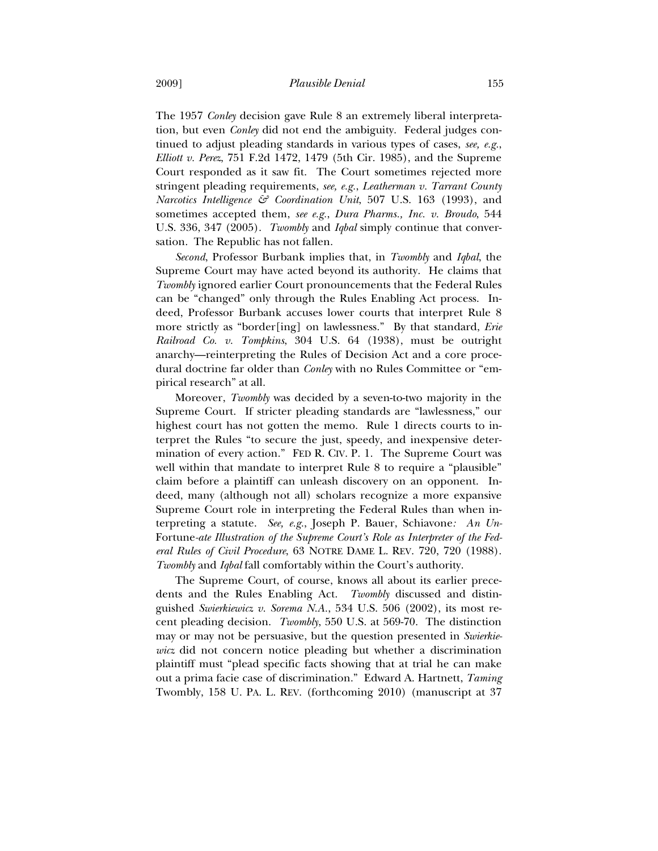The 1957 *Conley* decision gave Rule 8 an extremely liberal interpretation, but even *Conley* did not end the ambiguity. Federal judges continued to adjust pleading standards in various types of cases, *see, e.g.*, *Elliott v. Perez*, 751 F.2d 1472, 1479 (5th Cir. 1985), and the Supreme Court responded as it saw fit. The Court sometimes rejected more stringent pleading requirements, *see, e.g.*, *Leatherman v. Tarrant County Narcotics Intelligence & Coordination Unit*, 507 U.S. 163 (1993), and sometimes accepted them, *see e.g.*, *Dura Pharms., Inc. v. Broudo*, 544 U.S. 336, 347 (2005). *Twombly* and *Iqbal* simply continue that conversation. The Republic has not fallen.

*Second*, Professor Burbank implies that, in *Twombly* and *Iqbal*, the Supreme Court may have acted beyond its authority. He claims that *Twombly* ignored earlier Court pronouncements that the Federal Rules can be "changed" only through the Rules Enabling Act process. Indeed, Professor Burbank accuses lower courts that interpret Rule 8 more strictly as "border[ing] on lawlessness." By that standard, *Erie Railroad Co. v. Tompkins*, 304 U.S. 64 (1938), must be outright anarchy—reinterpreting the Rules of Decision Act and a core procedural doctrine far older than *Conley* with no Rules Committee or "empirical research" at all.

Moreover, *Twombly* was decided by a seven-to-two majority in the Supreme Court. If stricter pleading standards are "lawlessness," our highest court has not gotten the memo. Rule 1 directs courts to interpret the Rules "to secure the just, speedy, and inexpensive determination of every action." FED R. CIV. P. 1. The Supreme Court was well within that mandate to interpret Rule 8 to require a "plausible" claim before a plaintiff can unleash discovery on an opponent. Indeed, many (although not all) scholars recognize a more expansive Supreme Court role in interpreting the Federal Rules than when interpreting a statute. *See, e.g.*, Joseph P. Bauer, Schiavone*: An Un-*Fortune*-ate Illustration of the Supreme Court's Role as Interpreter of the Federal Rules of Civil Procedure*, 63 NOTRE DAME L. REV. 720, 720 (1988). *Twombly* and *Iqbal* fall comfortably within the Court's authority.

The Supreme Court, of course, knows all about its earlier precedents and the Rules Enabling Act. *Twombly* discussed and distinguished *Swierkiewicz v. Sorema N.A.*, 534 U.S. 506 (2002), its most recent pleading decision. *Twombly*, 550 U.S. at 569-70. The distinction may or may not be persuasive, but the question presented in *Swierkiewicz* did not concern notice pleading but whether a discrimination plaintiff must "plead specific facts showing that at trial he can make out a prima facie case of discrimination." Edward A. Hartnett, *Taming*  Twombly, 158 U. PA. L. REV. (forthcoming 2010) (manuscript at 37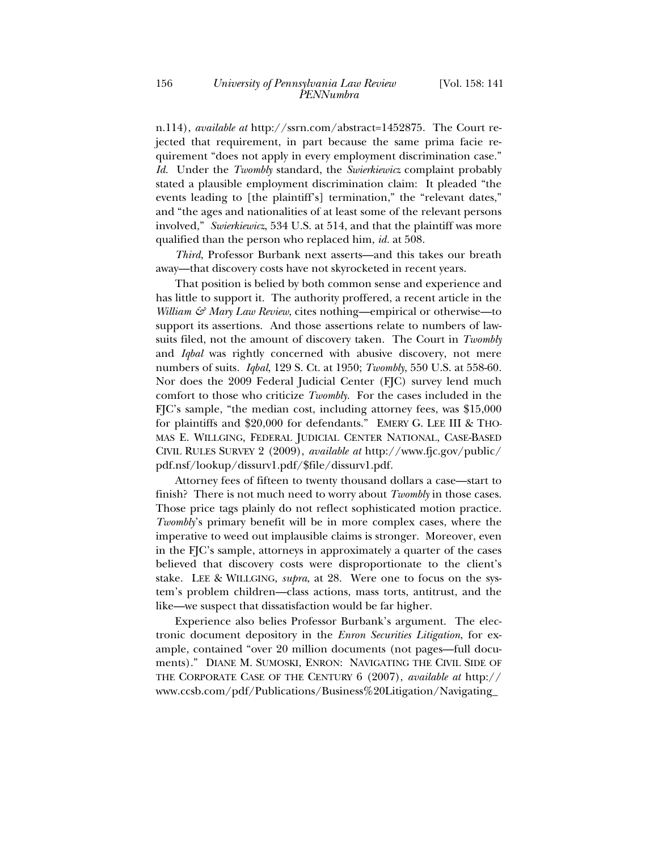n.114), *available at* http://ssrn.com/abstract=1452875. The Court rejected that requirement, in part because the same prima facie requirement "does not apply in every employment discrimination case." *Id.* Under the *Twombly* standard, the *Swierkiewicz* complaint probably stated a plausible employment discrimination claim: It pleaded "the events leading to [the plaintiff's] termination," the "relevant dates," and "the ages and nationalities of at least some of the relevant persons involved," *Swierkiewicz*, 534 U.S. at 514, and that the plaintiff was more qualified than the person who replaced him, *id.* at 508.

*Third*, Professor Burbank next asserts—and this takes our breath away—that discovery costs have not skyrocketed in recent years.

That position is belied by both common sense and experience and has little to support it. The authority proffered, a recent article in the *William & Mary Law Review*, cites nothing—empirical or otherwise—to support its assertions. And those assertions relate to numbers of lawsuits filed, not the amount of discovery taken. The Court in *Twombly* and *Iqbal* was rightly concerned with abusive discovery, not mere numbers of suits. *Iqbal*, 129 S. Ct. at 1950; *Twombly*, 550 U.S. at 558-60. Nor does the 2009 Federal Judicial Center (FJC) survey lend much comfort to those who criticize *Twombly*. For the cases included in the FJC's sample, "the median cost, including attorney fees, was \$15,000 for plaintiffs and \$20,000 for defendants." EMERY G. LEE III & THO-MAS E. WILLGING, FEDERAL JUDICIAL CENTER NATIONAL, CASE-BASED CIVIL RULES SURVEY 2 (2009), *available at* http://www.fjc.gov/public/ pdf.nsf/lookup/dissurv1.pdf/\$file/dissurv1.pdf.

Attorney fees of fifteen to twenty thousand dollars a case—start to finish? There is not much need to worry about *Twombly* in those cases. Those price tags plainly do not reflect sophisticated motion practice. *Twombly*'s primary benefit will be in more complex cases, where the imperative to weed out implausible claims is stronger. Moreover, even in the FJC's sample, attorneys in approximately a quarter of the cases believed that discovery costs were disproportionate to the client's stake. LEE & WILLGING, *supra*, at 28. Were one to focus on the system's problem children—class actions, mass torts, antitrust, and the like—we suspect that dissatisfaction would be far higher.

Experience also belies Professor Burbank's argument. The electronic document depository in the *Enron Securities Litigation*, for example, contained "over 20 million documents (not pages—full documents)." DIANE M. SUMOSKI, ENRON: NAVIGATING THE CIVIL SIDE OF THE CORPORATE CASE OF THE CENTURY 6 (2007), *available at* http:// www.ccsb.com/pdf/Publications/Business%20Litigation/Navigating\_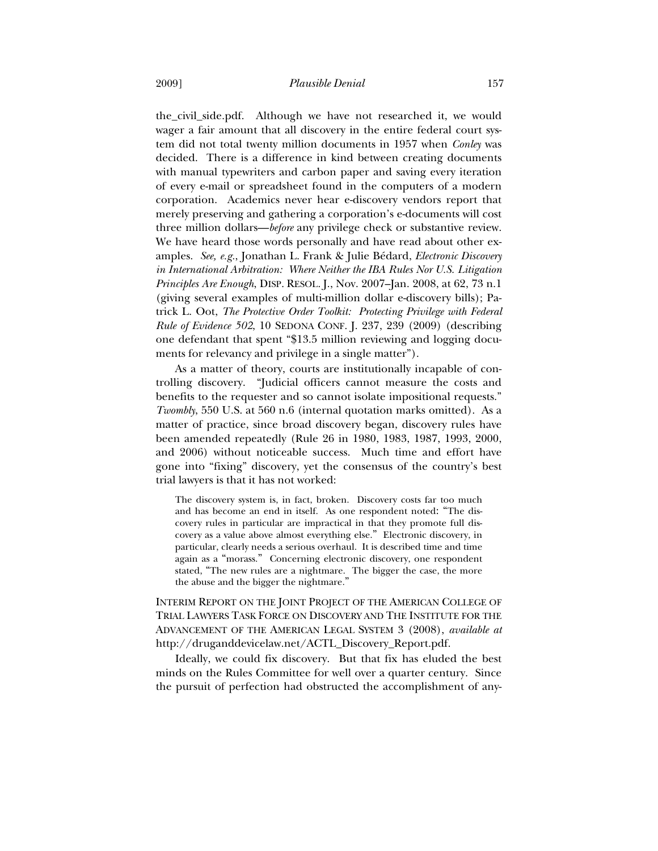the\_civil\_side.pdf. Although we have not researched it, we would wager a fair amount that all discovery in the entire federal court system did not total twenty million documents in 1957 when *Conley* was decided. There is a difference in kind between creating documents with manual typewriters and carbon paper and saving every iteration of every e-mail or spreadsheet found in the computers of a modern corporation. Academics never hear e-discovery vendors report that merely preserving and gathering a corporation's e-documents will cost three million dollars—*before* any privilege check or substantive review. We have heard those words personally and have read about other examples. *See, e.g.*, Jonathan L. Frank & Julie Bédard, *Electronic Discovery in International Arbitration: Where Neither the IBA Rules Nor U.S. Litigation Principles Are Enough*, DISP. RESOL. J., Nov. 2007–Jan. 2008, at 62, 73 n.1 (giving several examples of multi-million dollar e-discovery bills); Patrick L. Oot, *The Protective Order Toolkit: Protecting Privilege with Federal Rule of Evidence 502*, 10 SEDONA CONF. J. 237, 239 (2009) (describing one defendant that spent "\$13.5 million reviewing and logging documents for relevancy and privilege in a single matter").

As a matter of theory, courts are institutionally incapable of controlling discovery. "Judicial officers cannot measure the costs and benefits to the requester and so cannot isolate impositional requests." *Twombly*, 550 U.S. at 560 n.6 (internal quotation marks omitted). As a matter of practice, since broad discovery began, discovery rules have been amended repeatedly (Rule 26 in 1980, 1983, 1987, 1993, 2000, and 2006) without noticeable success. Much time and effort have gone into "fixing" discovery, yet the consensus of the country's best trial lawyers is that it has not worked:

The discovery system is, in fact, broken. Discovery costs far too much and has become an end in itself. As one respondent noted: "The discovery rules in particular are impractical in that they promote full discovery as a value above almost everything else." Electronic discovery, in particular, clearly needs a serious overhaul. It is described time and time again as a "morass." Concerning electronic discovery, one respondent stated, "The new rules are a nightmare. The bigger the case, the more the abuse and the bigger the nightmare."

INTERIM REPORT ON THE JOINT PROJECT OF THE AMERICAN COLLEGE OF TRIAL LAWYERS TASK FORCE ON DISCOVERY AND THE INSTITUTE FOR THE ADVANCEMENT OF THE AMERICAN LEGAL SYSTEM 3 (2008), *available at* http://druganddevicelaw.net/ACTL\_Discovery\_Report.pdf.

Ideally, we could fix discovery. But that fix has eluded the best minds on the Rules Committee for well over a quarter century. Since the pursuit of perfection had obstructed the accomplishment of any-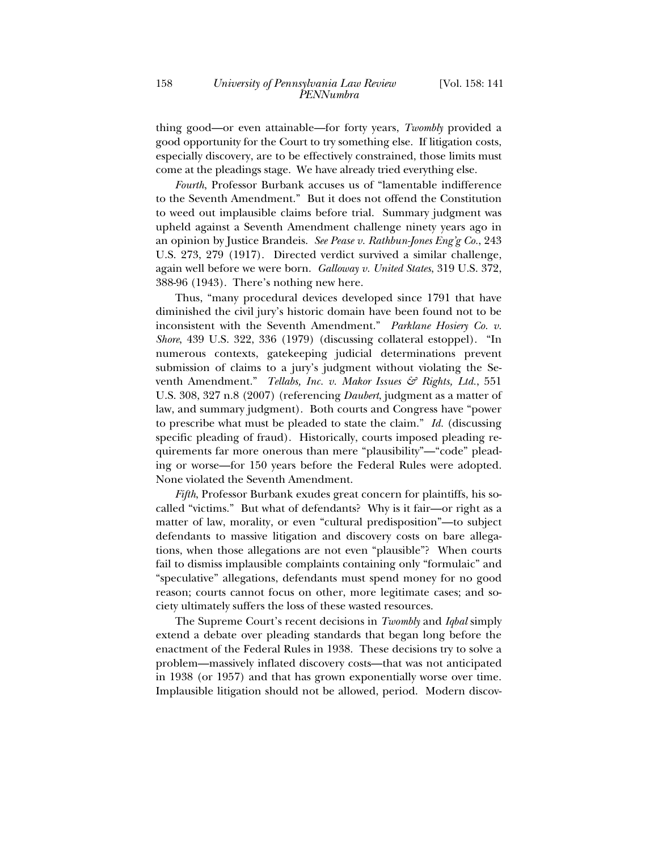thing good—or even attainable—for forty years, *Twombly* provided a good opportunity for the Court to try something else. If litigation costs, especially discovery, are to be effectively constrained, those limits must come at the pleadings stage. We have already tried everything else.

*Fourth*, Professor Burbank accuses us of "lamentable indifference to the Seventh Amendment." But it does not offend the Constitution to weed out implausible claims before trial. Summary judgment was upheld against a Seventh Amendment challenge ninety years ago in an opinion by Justice Brandeis. *See Pease v. Rathbun-Jones Eng'g Co.*, 243 U.S. 273, 279 (1917). Directed verdict survived a similar challenge, again well before we were born. *Galloway v. United States*, 319 U.S. 372, 388-96 (1943). There's nothing new here.

Thus, "many procedural devices developed since 1791 that have diminished the civil jury's historic domain have been found not to be inconsistent with the Seventh Amendment." *Parklane Hosiery Co. v. Shore*, 439 U.S. 322, 336 (1979) (discussing collateral estoppel). "In numerous contexts, gatekeeping judicial determinations prevent submission of claims to a jury's judgment without violating the Seventh Amendment." *Tellabs, Inc. v. Makor Issues & Rights, Ltd.*, 551 U.S. 308, 327 n.8 (2007) (referencing *Daubert*, judgment as a matter of law, and summary judgment). Both courts and Congress have "power to prescribe what must be pleaded to state the claim." *Id.* (discussing specific pleading of fraud). Historically, courts imposed pleading requirements far more onerous than mere "plausibility"—"code" pleading or worse—for 150 years before the Federal Rules were adopted. None violated the Seventh Amendment.

*Fifth*, Professor Burbank exudes great concern for plaintiffs, his socalled "victims." But what of defendants? Why is it fair—or right as a matter of law, morality, or even "cultural predisposition"—to subject defendants to massive litigation and discovery costs on bare allegations, when those allegations are not even "plausible"? When courts fail to dismiss implausible complaints containing only "formulaic" and "speculative" allegations, defendants must spend money for no good reason; courts cannot focus on other, more legitimate cases; and society ultimately suffers the loss of these wasted resources.

The Supreme Court's recent decisions in *Twombly* and *Iqbal* simply extend a debate over pleading standards that began long before the enactment of the Federal Rules in 1938. These decisions try to solve a problem—massively inflated discovery costs—that was not anticipated in 1938 (or 1957) and that has grown exponentially worse over time. Implausible litigation should not be allowed, period. Modern discov-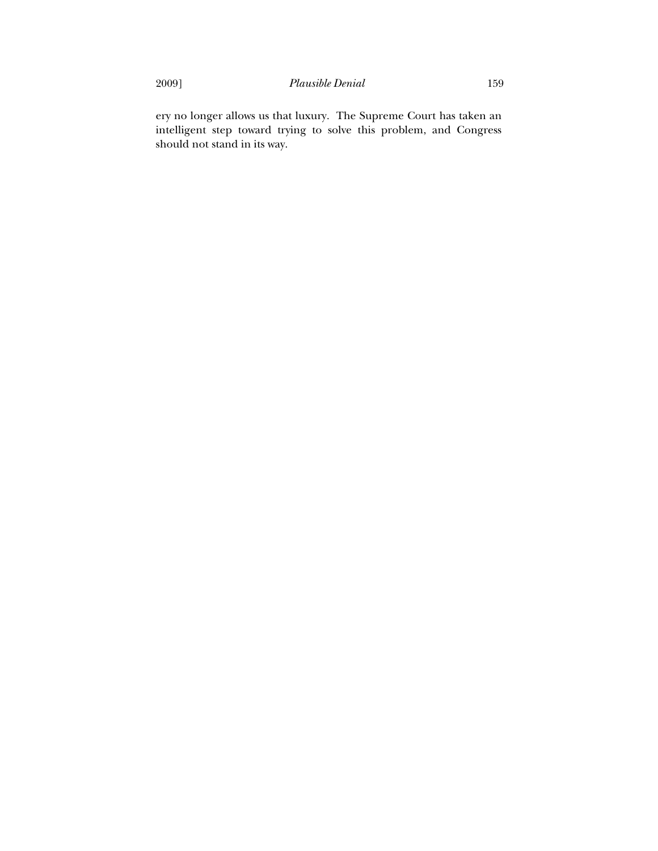ery no longer allows us that luxury. The Supreme Court has taken an intelligent step toward trying to solve this problem, and Congress should not stand in its way.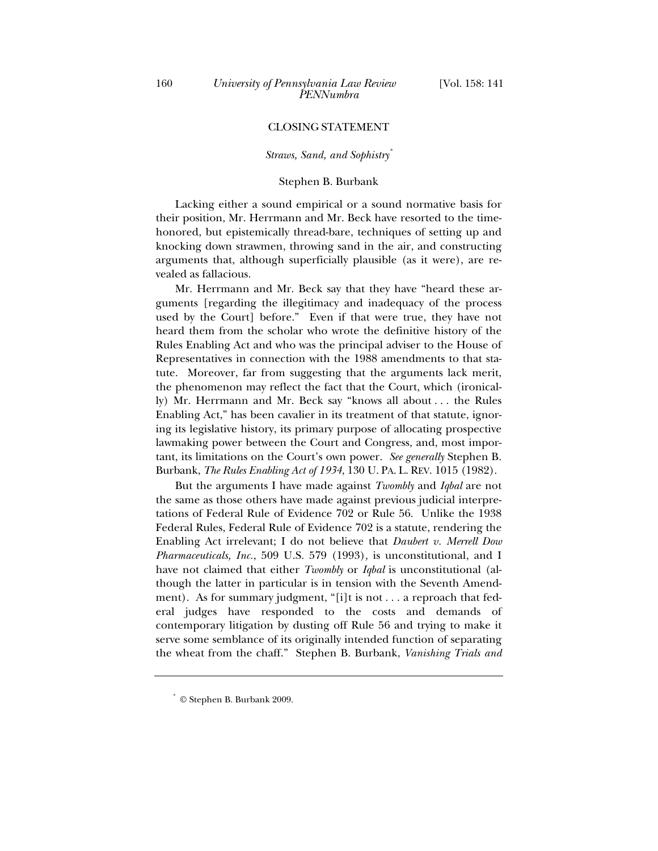## CLOSING STATEMENT

#### *Straws, Sand, and Sophistry\**

#### Stephen B. Burbank

Lacking either a sound empirical or a sound normative basis for their position, Mr. Herrmann and Mr. Beck have resorted to the timehonored, but epistemically thread-bare, techniques of setting up and knocking down strawmen, throwing sand in the air, and constructing arguments that, although superficially plausible (as it were), are revealed as fallacious.

Mr. Herrmann and Mr. Beck say that they have "heard these arguments [regarding the illegitimacy and inadequacy of the process used by the Court] before." Even if that were true, they have not heard them from the scholar who wrote the definitive history of the Rules Enabling Act and who was the principal adviser to the House of Representatives in connection with the 1988 amendments to that statute. Moreover, far from suggesting that the arguments lack merit, the phenomenon may reflect the fact that the Court, which (ironically) Mr. Herrmann and Mr. Beck say "knows all about . . . the Rules Enabling Act," has been cavalier in its treatment of that statute, ignoring its legislative history, its primary purpose of allocating prospective lawmaking power between the Court and Congress, and, most important, its limitations on the Court's own power. *See generally* Stephen B. Burbank, *The Rules Enabling Act of 1934*, 130 U. PA. L. REV. 1015 (1982).

But the arguments I have made against *Twombly* and *Iqbal* are not the same as those others have made against previous judicial interpretations of Federal Rule of Evidence 702 or Rule 56. Unlike the 1938 Federal Rules, Federal Rule of Evidence 702 is a statute, rendering the Enabling Act irrelevant; I do not believe that *Daubert v. Merrell Dow Pharmaceuticals, Inc.*, 509 U.S. 579 (1993)*,* is unconstitutional, and I have not claimed that either *Twombly* or *Iqbal* is unconstitutional (although the latter in particular is in tension with the Seventh Amendment). As for summary judgment, "[i]t is not . . . a reproach that federal judges have responded to the costs and demands of contemporary litigation by dusting off Rule 56 and trying to make it serve some semblance of its originally intended function of separating the wheat from the chaff." Stephen B. Burbank, *Vanishing Trials and* 

<sup>©</sup> Stephen B. Burbank 2009.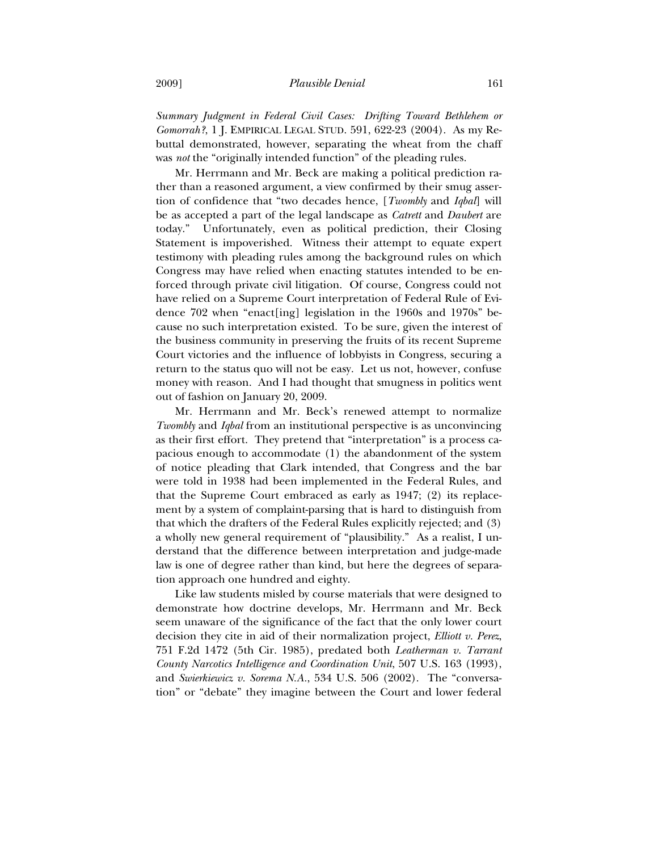*Summary Judgment in Federal Civil Cases: Drifting Toward Bethlehem or Gomorrah?*, 1 J. EMPIRICAL LEGAL STUD. 591, 622-23 (2004). As my Rebuttal demonstrated, however, separating the wheat from the chaff was *not* the "originally intended function" of the pleading rules.

Mr. Herrmann and Mr. Beck are making a political prediction rather than a reasoned argument, a view confirmed by their smug assertion of confidence that "two decades hence, [*Twombly* and *Iqbal*] will be as accepted a part of the legal landscape as *Catrett* and *Daubert* are today." Unfortunately, even as political prediction, their Closing Statement is impoverished. Witness their attempt to equate expert testimony with pleading rules among the background rules on which Congress may have relied when enacting statutes intended to be enforced through private civil litigation. Of course, Congress could not have relied on a Supreme Court interpretation of Federal Rule of Evidence 702 when "enact[ing] legislation in the 1960s and 1970s" because no such interpretation existed. To be sure, given the interest of the business community in preserving the fruits of its recent Supreme Court victories and the influence of lobbyists in Congress, securing a return to the status quo will not be easy. Let us not, however, confuse money with reason. And I had thought that smugness in politics went out of fashion on January 20, 2009.

Mr. Herrmann and Mr. Beck's renewed attempt to normalize *Twombly* and *Iqbal* from an institutional perspective is as unconvincing as their first effort. They pretend that "interpretation" is a process capacious enough to accommodate (1) the abandonment of the system of notice pleading that Clark intended, that Congress and the bar were told in 1938 had been implemented in the Federal Rules, and that the Supreme Court embraced as early as 1947; (2) its replacement by a system of complaint-parsing that is hard to distinguish from that which the drafters of the Federal Rules explicitly rejected; and (3) a wholly new general requirement of "plausibility." As a realist, I understand that the difference between interpretation and judge-made law is one of degree rather than kind, but here the degrees of separation approach one hundred and eighty.

Like law students misled by course materials that were designed to demonstrate how doctrine develops, Mr. Herrmann and Mr. Beck seem unaware of the significance of the fact that the only lower court decision they cite in aid of their normalization project, *Elliott v. Perez*, 751 F.2d 1472 (5th Cir. 1985), predated both *Leatherman v. Tarrant County Narcotics Intelligence and Coordination Unit*, 507 U.S. 163 (1993), and *Swierkiewicz v. Sorema N.A.*, 534 U.S. 506 (2002). The "conversation" or "debate" they imagine between the Court and lower federal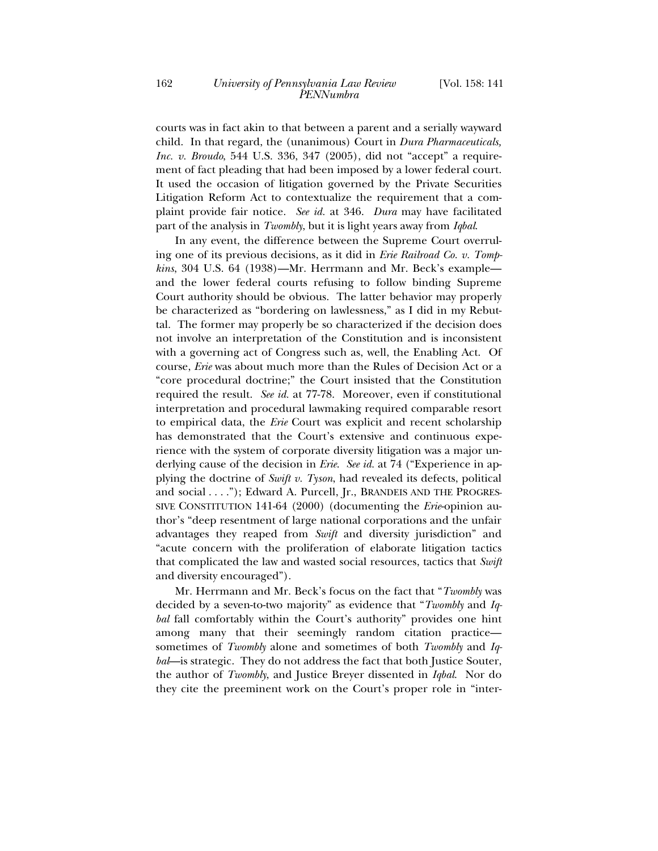courts was in fact akin to that between a parent and a serially wayward child. In that regard, the (unanimous) Court in *Dura Pharmaceuticals, Inc. v. Broudo*, 544 U.S. 336, 347 (2005), did not "accept" a requirement of fact pleading that had been imposed by a lower federal court. It used the occasion of litigation governed by the Private Securities Litigation Reform Act to contextualize the requirement that a complaint provide fair notice. *See id.* at 346. *Dura* may have facilitated part of the analysis in *Twombly*, but it is light years away from *Iqbal*.

In any event, the difference between the Supreme Court overruling one of its previous decisions, as it did in *Erie Railroad Co. v. Tompkins*, 304 U.S. 64 (1938)—Mr. Herrmann and Mr. Beck's example and the lower federal courts refusing to follow binding Supreme Court authority should be obvious. The latter behavior may properly be characterized as "bordering on lawlessness," as I did in my Rebuttal. The former may properly be so characterized if the decision does not involve an interpretation of the Constitution and is inconsistent with a governing act of Congress such as, well, the Enabling Act. Of course, *Erie* was about much more than the Rules of Decision Act or a "core procedural doctrine;" the Court insisted that the Constitution required the result. *See id.* at 77-78. Moreover, even if constitutional interpretation and procedural lawmaking required comparable resort to empirical data, the *Erie* Court was explicit and recent scholarship has demonstrated that the Court's extensive and continuous experience with the system of corporate diversity litigation was a major underlying cause of the decision in *Erie*. *See id.* at 74 ("Experience in applying the doctrine of *Swift v. Tyson*, had revealed its defects, political and social . . . ."); Edward A. Purcell, Jr., BRANDEIS AND THE PROGRES-SIVE CONSTITUTION 141-64 (2000) (documenting the *Erie*-opinion author's "deep resentment of large national corporations and the unfair advantages they reaped from *Swift* and diversity jurisdiction" and "acute concern with the proliferation of elaborate litigation tactics that complicated the law and wasted social resources, tactics that *Swift* and diversity encouraged").

Mr. Herrmann and Mr. Beck's focus on the fact that "*Twombly* was decided by a seven-to-two majority" as evidence that "*Twombly* and *Iqbal* fall comfortably within the Court's authority" provides one hint among many that their seemingly random citation practice sometimes of *Twombly* alone and sometimes of both *Twombly* and *Iqbal*—is strategic. They do not address the fact that both Justice Souter, the author of *Twombly*, and Justice Breyer dissented in *Iqbal*. Nor do they cite the preeminent work on the Court's proper role in "inter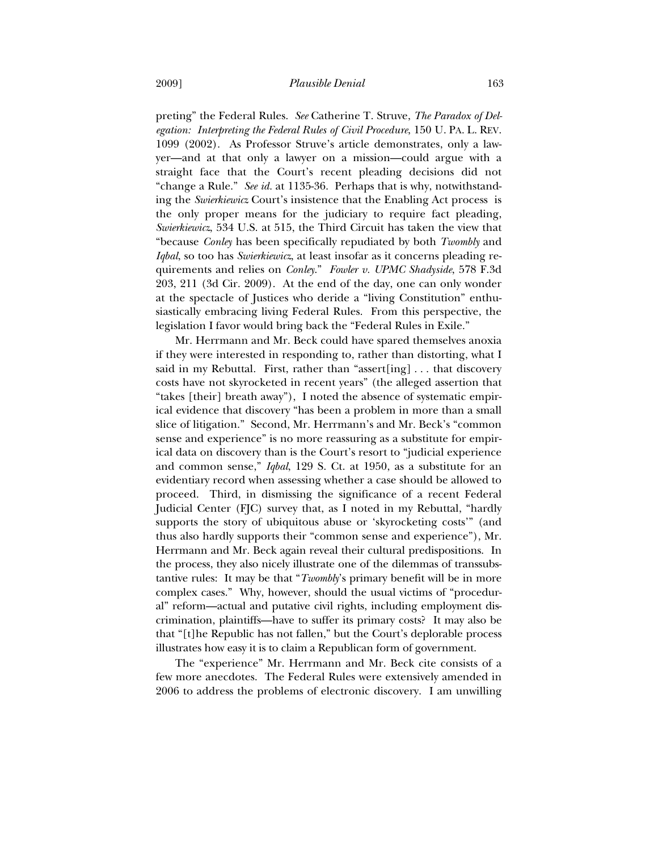preting" the Federal Rules. *See* Catherine T. Struve, *The Paradox of Delegation: Interpreting the Federal Rules of Civil Procedure*, 150 U. PA. L. REV. 1099 (2002). As Professor Struve's article demonstrates, only a lawyer—and at that only a lawyer on a mission—could argue with a straight face that the Court's recent pleading decisions did not "change a Rule." *See id.* at 1135-36. Perhaps that is why, notwithstanding the *Swierkiewicz* Court's insistence that the Enabling Act process is the only proper means for the judiciary to require fact pleading, *Swierkiewicz*, 534 U.S. at 515, the Third Circuit has taken the view that "because *Conley* has been specifically repudiated by both *Twombly* and *Iqbal*, so too has *Swierkiewicz*, at least insofar as it concerns pleading requirements and relies on *Conley*." *Fowler v. UPMC Shadyside*, 578 F.3d 203, 211 (3d Cir. 2009). At the end of the day, one can only wonder at the spectacle of Justices who deride a "living Constitution" enthusiastically embracing living Federal Rules. From this perspective, the legislation I favor would bring back the "Federal Rules in Exile."

Mr. Herrmann and Mr. Beck could have spared themselves anoxia if they were interested in responding to, rather than distorting, what I said in my Rebuttal. First, rather than "assert [ing]  $\ldots$  that discovery costs have not skyrocketed in recent years" (the alleged assertion that "takes [their] breath away"), I noted the absence of systematic empirical evidence that discovery "has been a problem in more than a small slice of litigation." Second, Mr. Herrmann's and Mr. Beck's "common sense and experience" is no more reassuring as a substitute for empirical data on discovery than is the Court's resort to "judicial experience and common sense," *Iqbal*, 129 S. Ct. at 1950, as a substitute for an evidentiary record when assessing whether a case should be allowed to proceed. Third, in dismissing the significance of a recent Federal Judicial Center (FJC) survey that, as I noted in my Rebuttal, "hardly supports the story of ubiquitous abuse or 'skyrocketing costs'" (and thus also hardly supports their "common sense and experience"), Mr. Herrmann and Mr. Beck again reveal their cultural predispositions. In the process, they also nicely illustrate one of the dilemmas of transsubstantive rules: It may be that "*Twombly*'s primary benefit will be in more complex cases." Why, however, should the usual victims of "procedural" reform—actual and putative civil rights, including employment discrimination, plaintiffs—have to suffer its primary costs? It may also be that "[t]he Republic has not fallen," but the Court's deplorable process illustrates how easy it is to claim a Republican form of government.

The "experience" Mr. Herrmann and Mr. Beck cite consists of a few more anecdotes. The Federal Rules were extensively amended in 2006 to address the problems of electronic discovery. I am unwilling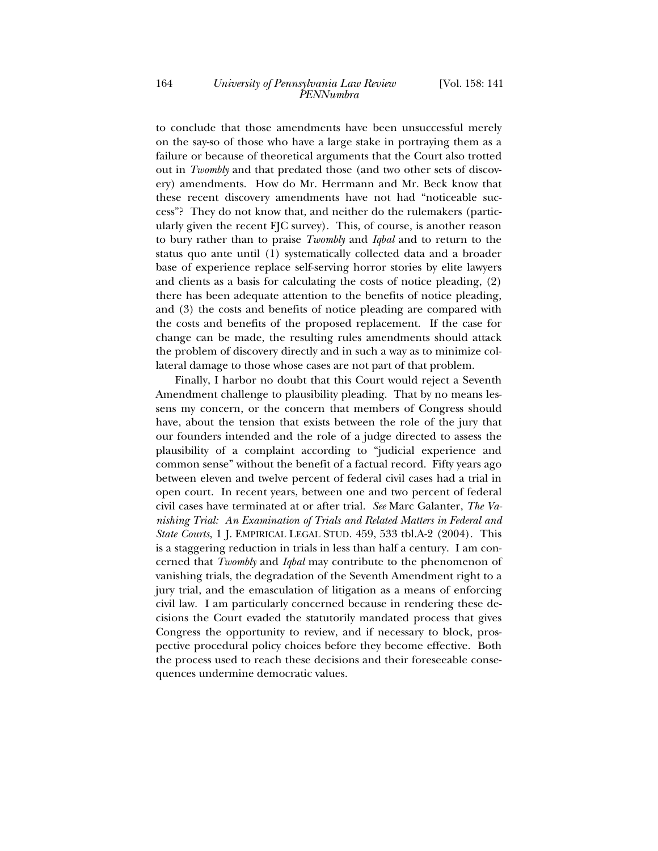to conclude that those amendments have been unsuccessful merely on the say-so of those who have a large stake in portraying them as a failure or because of theoretical arguments that the Court also trotted out in *Twombly* and that predated those (and two other sets of discovery) amendments. How do Mr. Herrmann and Mr. Beck know that these recent discovery amendments have not had "noticeable success"? They do not know that, and neither do the rulemakers (particularly given the recent FJC survey). This, of course, is another reason to bury rather than to praise *Twombly* and *Iqbal* and to return to the status quo ante until (1) systematically collected data and a broader base of experience replace self-serving horror stories by elite lawyers and clients as a basis for calculating the costs of notice pleading, (2) there has been adequate attention to the benefits of notice pleading, and (3) the costs and benefits of notice pleading are compared with the costs and benefits of the proposed replacement. If the case for change can be made, the resulting rules amendments should attack the problem of discovery directly and in such a way as to minimize collateral damage to those whose cases are not part of that problem.

Finally, I harbor no doubt that this Court would reject a Seventh Amendment challenge to plausibility pleading. That by no means lessens my concern, or the concern that members of Congress should have, about the tension that exists between the role of the jury that our founders intended and the role of a judge directed to assess the plausibility of a complaint according to "judicial experience and common sense" without the benefit of a factual record. Fifty years ago between eleven and twelve percent of federal civil cases had a trial in open court. In recent years, between one and two percent of federal civil cases have terminated at or after trial. *See* Marc Galanter, *The Vanishing Trial: An Examination of Trials and Related Matters in Federal and State Courts*, 1 J. EMPIRICAL LEGAL STUD. 459, 533 tbl.A-2 (2004). This is a staggering reduction in trials in less than half a century. I am concerned that *Twombly* and *Iqbal* may contribute to the phenomenon of vanishing trials, the degradation of the Seventh Amendment right to a jury trial, and the emasculation of litigation as a means of enforcing civil law. I am particularly concerned because in rendering these decisions the Court evaded the statutorily mandated process that gives Congress the opportunity to review, and if necessary to block, prospective procedural policy choices before they become effective. Both the process used to reach these decisions and their foreseeable consequences undermine democratic values.